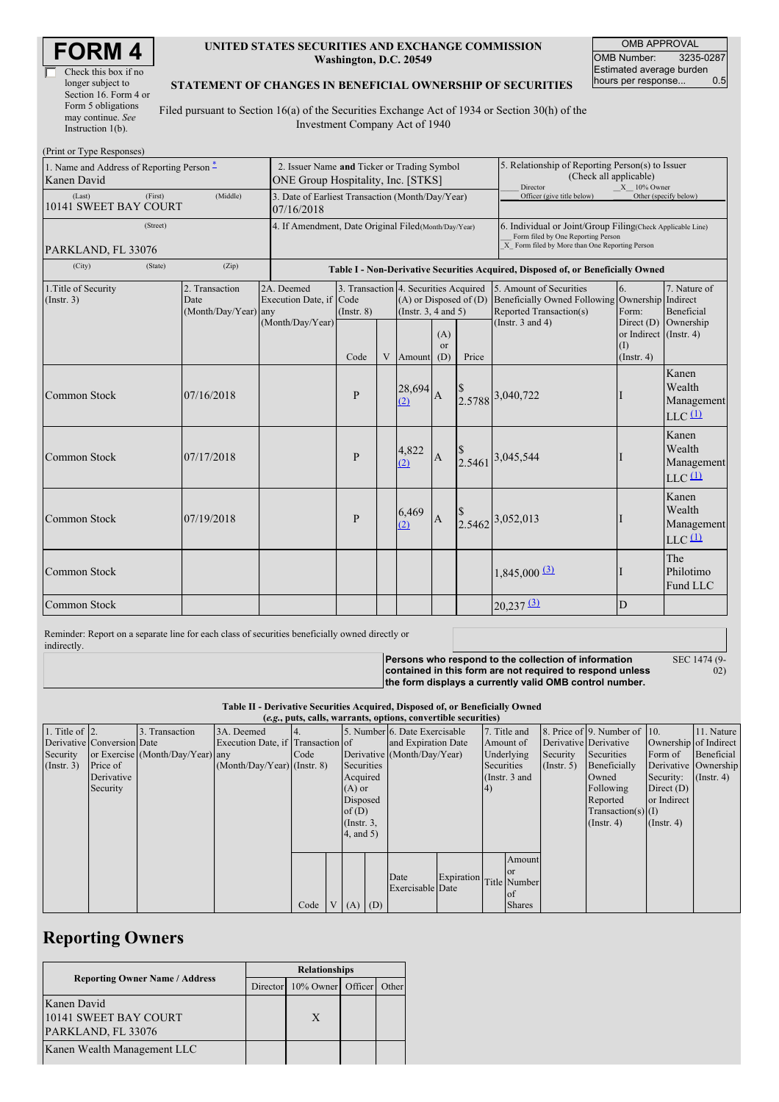| Check this box if no  |
|-----------------------|
| longer subject to     |
| Section 16. Form 4 or |
| Form 5 obligations    |
| may continue. See     |
| Instruction $1(b)$ .  |

### **UNITED STATES SECURITIES AND EXCHANGE COMMISSION Washington, D.C. 20549**

OMB APPROVAL OMB Number: 3235-0287 Estimated average burden<br>hours per response... 0.5 hours per response...

#### **STATEMENT OF CHANGES IN BENEFICIAL OWNERSHIP OF SECURITIES**

Filed pursuant to Section 16(a) of the Securities Exchange Act of 1934 or Section 30(h) of the Investment Company Act of 1940

| (Print or Type Responses)                                |                                                                                   |                                                |                                                           |                                                                                  |   |                                                                                                                                                    |                                                                                                            |       |                                                                                                                                |                                                             |                                                                    |
|----------------------------------------------------------|-----------------------------------------------------------------------------------|------------------------------------------------|-----------------------------------------------------------|----------------------------------------------------------------------------------|---|----------------------------------------------------------------------------------------------------------------------------------------------------|------------------------------------------------------------------------------------------------------------|-------|--------------------------------------------------------------------------------------------------------------------------------|-------------------------------------------------------------|--------------------------------------------------------------------|
| 1. Name and Address of Reporting Person -<br>Kanen David | 2. Issuer Name and Ticker or Trading Symbol<br>ONE Group Hospitality, Inc. [STKS] |                                                |                                                           |                                                                                  |   |                                                                                                                                                    | 5. Relationship of Reporting Person(s) to Issuer<br>(Check all applicable)<br>Director<br>$X = 10\%$ Owner |       |                                                                                                                                |                                                             |                                                                    |
| (Last)<br>10141 SWEET BAY COURT                          | 3. Date of Earliest Transaction (Month/Day/Year)<br>07/16/2018                    |                                                |                                                           |                                                                                  |   |                                                                                                                                                    | Officer (give title below)                                                                                 |       | Other (specify below)                                                                                                          |                                                             |                                                                    |
| PARKLAND, FL 33076                                       | 4. If Amendment, Date Original Filed (Month/Day/Year)                             |                                                |                                                           |                                                                                  |   | 6. Individual or Joint/Group Filing(Check Applicable Line)<br>Form filed by One Reporting Person<br>X Form filed by More than One Reporting Person |                                                                                                            |       |                                                                                                                                |                                                             |                                                                    |
| (City)<br>(Zip)<br>(State)                               |                                                                                   |                                                |                                                           | Table I - Non-Derivative Securities Acquired, Disposed of, or Beneficially Owned |   |                                                                                                                                                    |                                                                                                            |       |                                                                                                                                |                                                             |                                                                    |
| 1. Title of Security<br>(Insert. 3)                      |                                                                                   | 2. Transaction<br>Date<br>(Month/Day/Year) any | 2A. Deemed<br>Execution Date, if Code<br>(Month/Day/Year) | 3. Transaction 4. Securities Acquired<br>$($ Instr. $8)$<br>Code                 | V | $(A)$ or Disposed of $(D)$<br>(Instr. $3, 4$ and $5$ )<br>Amount                                                                                   | (A)<br>or<br>(D)                                                                                           | Price | 5. Amount of Securities<br>Beneficially Owned Following Ownership Indirect<br>Reported Transaction(s)<br>(Instr. $3$ and $4$ ) | 6.<br>Form:<br>or Indirect (Instr. 4)<br>(1)<br>(Insert. 4) | 7. Nature of<br><b>Beneficial</b><br>Direct $(D)$ Ownership        |
| Common Stock                                             |                                                                                   | 07/16/2018                                     |                                                           | $\mathbf{P}$                                                                     |   | 28,694<br>(2)                                                                                                                                      | $\overline{A}$                                                                                             |       | 2.5788 3,040,722                                                                                                               |                                                             | Kanen<br>Wealth<br>Management<br>$LLC$ <sup><math>(1)</math></sup> |
| Common Stock                                             |                                                                                   | 07/17/2018                                     |                                                           | $\mathbf{P}$                                                                     |   | 4,822<br>(2)                                                                                                                                       | $\overline{A}$                                                                                             |       | 2.5461 3,045,544                                                                                                               |                                                             | Kanen<br>Wealth<br>Management<br>$LLC$ <sup><math>(1)</math></sup> |
| <b>Common Stock</b>                                      |                                                                                   | 07/19/2018                                     |                                                           | $\mathbf{P}$                                                                     |   | 6,469<br>(2)                                                                                                                                       | $\overline{A}$                                                                                             |       | 2.5462 3,052,013                                                                                                               |                                                             | Kanen<br>Wealth<br>Management<br>$LLC$ <sup><math>(1)</math></sup> |
| <b>Common Stock</b>                                      |                                                                                   |                                                |                                                           |                                                                                  |   |                                                                                                                                                    |                                                                                                            |       | $1,845,000$ $\underline{3}$                                                                                                    |                                                             | The<br>Philotimo<br>Fund LLC                                       |
| <b>Common Stock</b>                                      |                                                                                   |                                                |                                                           |                                                                                  |   |                                                                                                                                                    |                                                                                                            |       | $20,237$ $\underline{31}$                                                                                                      | D                                                           |                                                                    |

Reminder: Report on a separate line for each class of securities beneficially owned directly or indirectly.

**Persons who respond to the collection of information contained in this form are not required to respond unless the form displays a currently valid OMB control number.** SEC 1474 (9-

02)

**Table II - Derivative Securities Acquired, Disposed of, or Beneficially Owned**

| (e.g., puts, calls, warrants, options, convertible securities) |                            |                                  |                                   |      |  |                 |                     |                                |           |                 |               |                       |                              |                      |               |
|----------------------------------------------------------------|----------------------------|----------------------------------|-----------------------------------|------|--|-----------------|---------------------|--------------------------------|-----------|-----------------|---------------|-----------------------|------------------------------|----------------------|---------------|
| 1. Title of $\vert$ 2.                                         |                            | 3. Transaction                   | 3A. Deemed                        |      |  |                 |                     | 5. Number 6. Date Exercisable  |           |                 | 7. Title and  |                       | 8. Price of 9. Number of 10. |                      | 11. Nature    |
|                                                                | Derivative Conversion Date |                                  | Execution Date, if Transaction of |      |  |                 | and Expiration Date |                                | Amount of |                 |               | Derivative Derivative | Ownership of Indirect        |                      |               |
| Security                                                       |                            | or Exercise (Month/Day/Year) any |                                   | Code |  |                 |                     | Derivative (Month/Day/Year)    |           | Underlying      |               | Security              | Securities                   | Form of              | Beneficial    |
| (Insert. 3)                                                    | Price of                   |                                  | $(Month/Day/Year)$ (Instr. 8)     |      |  | Securities      |                     |                                |           | Securities      |               | $($ Instr. 5)         | Beneficially                 | Derivative Ownership |               |
|                                                                | Derivative                 |                                  |                                   |      |  | Acquired        |                     |                                |           | (Instr. $3$ and |               |                       | Owned                        | Security:            | $($ Instr. 4) |
|                                                                | Security                   |                                  |                                   |      |  | $(A)$ or        |                     |                                |           | 4)              |               |                       | Following                    | Direct $(D)$         |               |
|                                                                |                            |                                  |                                   |      |  | Disposed        |                     |                                |           |                 |               |                       | Reported                     | or Indirect          |               |
|                                                                |                            |                                  |                                   |      |  | of $(D)$        |                     |                                |           |                 |               |                       | $Transaction(s)$ (I)         |                      |               |
|                                                                |                            |                                  |                                   |      |  | $($ Instr. $3,$ |                     |                                |           |                 |               |                       | $($ Instr. 4 $)$             | (Insert 4)           |               |
|                                                                |                            |                                  |                                   |      |  | $4$ , and $5$ ) |                     |                                |           |                 |               |                       |                              |                      |               |
|                                                                |                            |                                  |                                   |      |  |                 |                     |                                |           |                 |               |                       |                              |                      |               |
|                                                                |                            |                                  |                                   |      |  |                 |                     |                                |           |                 | Amount        |                       |                              |                      |               |
|                                                                |                            |                                  |                                   |      |  |                 |                     | Date                           |           |                 | <sub>or</sub> |                       |                              |                      |               |
|                                                                |                            |                                  |                                   |      |  |                 |                     | Expiration<br>Exercisable Date |           | Title Number    |               |                       |                              |                      |               |
|                                                                |                            |                                  |                                   |      |  |                 |                     |                                |           |                 | of            |                       |                              |                      |               |
|                                                                |                            |                                  |                                   | Code |  | $V(A)$ (D)      |                     |                                |           |                 | <b>Shares</b> |                       |                              |                      |               |

## **Reporting Owners**

|                                                            | <b>Relationships</b> |                            |  |       |  |  |
|------------------------------------------------------------|----------------------|----------------------------|--|-------|--|--|
| <b>Reporting Owner Name / Address</b>                      |                      | Director 10% Owner Officer |  | Other |  |  |
| Kanen David<br>10141 SWEET BAY COURT<br>PARKLAND, FL 33076 |                      | X                          |  |       |  |  |
| Kanen Wealth Management LLC                                |                      |                            |  |       |  |  |